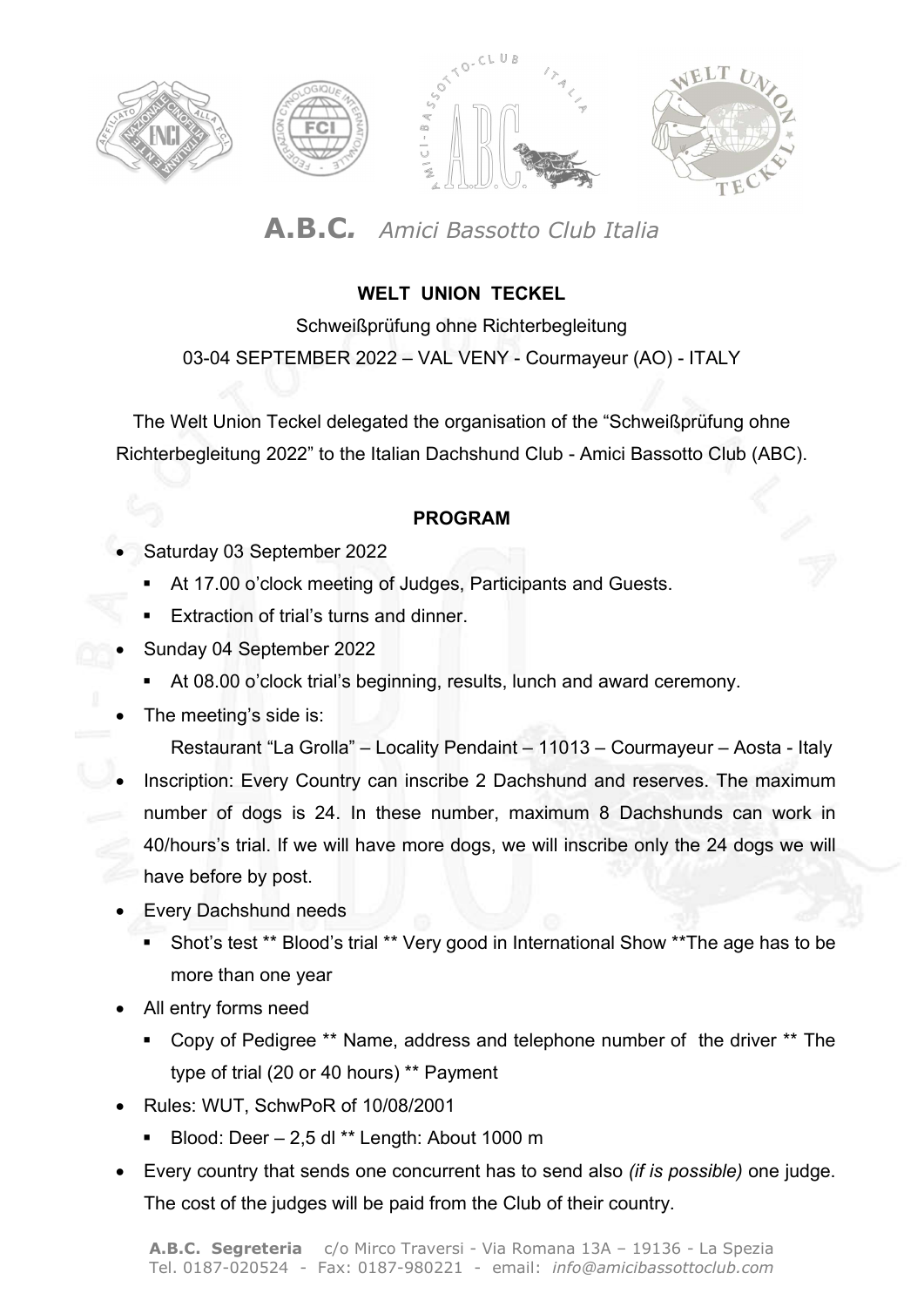

## A.B.C. Amici Bassotto Club Italia

### WELT UNION TECKEL

Schweißprüfung ohne Richterbegleitung 03-04 SEPTEMBER 2022 – VAL VENY - Courmayeur (AO) - ITALY

The Welt Union Teckel delegated the organisation of the "Schweißprüfung ohne Richterbegleitung 2022" to the Italian Dachshund Club - Amici Bassotto Club (ABC).

#### PROGRAM

- Saturday 03 September 2022
	- At 17.00 o'clock meeting of Judges, Participants and Guests.
	- Extraction of trial's turns and dinner.
- Sunday 04 September 2022
	- At 08.00 o'clock trial's beginning, results, lunch and award ceremony.
- The meeting's side is:

Restaurant "La Grolla" – Locality Pendaint – 11013 – Courmayeur – Aosta - Italy

- Inscription: Every Country can inscribe 2 Dachshund and reserves. The maximum number of dogs is 24. In these number, maximum 8 Dachshunds can work in 40/hours's trial. If we will have more dogs, we will inscribe only the 24 dogs we will have before by post.
	- Every Dachshund needs
		- Shot's test \*\* Blood's trial \*\* Very good in International Show \*\* The age has to be more than one year
	- All entry forms need
		- Copy of Pedigree \*\* Name, address and telephone number of the driver \*\* The type of trial (20 or 40 hours) \*\* Payment
	- Rules: WUT, SchwPoR of 10/08/2001
		- Blood: Deer 2,5 dl \*\* Length: About 1000 m
	- Every country that sends one concurrent has to send also *(if is possible)* one judge. The cost of the judges will be paid from the Club of their country.